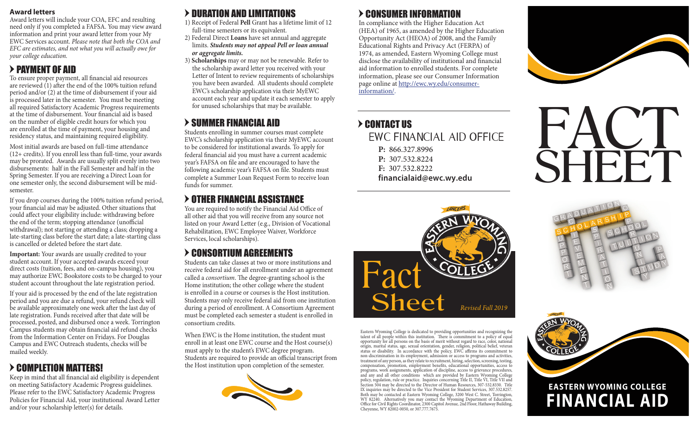#### **Award letters**

Award letters will include your COA, EFC and resulting need only if you completed a FAFSA. You may view award information and print your award letter from your My EWC Services account. *Please note that both the COA and EFC are estimates, and not what you will actually owe for your college education.*

### $>$  PAYMENT OF AID

To ensure proper payment, all financial aid resources are reviewed  $(1)$  after the end of the 100% tuition refund period and/or (2) at the time of disbursement if your aid is processed later in the semester. You must be meeting all required Satisfactory Academic Progress requirements at the time of disbursement. Your financial aid is based on the number of eligible credit hours for which you are enrolled at the time of payment, your housing and residency status, and maintaining required eligibility.

Most initial awards are based on full-time attendance (12+ credits). If you enroll less than full-time, your awards may be prorated. Awards are usually split evenly into two disbursements: half in the Fall Semester and half in the Spring Semester. If you are receiving a Direct Loan for one semester only, the second disbursement will be midsemester.

If you drop courses during the 100% tuition refund period, your financial aid may be adjusted. Other situations that could affect your eligibility include: withdrawing before the end of the term; stopping attendance (unofficial withdrawal); not starting or attending a class; dropping a late-starting class before the start date; a late-starting class is cancelled or deleted before the start date.

**Important:** Your awards are usually credited to your student account. If your accepted awards exceed your direct costs (tuition, fees, and on-campus housing), you may authorize EWC Bookstore costs to be charged to your student account throughout the late registration period.

If your aid is processed by the end of the late registration period and you are due a refund, your refund check will be available approximately one week after the last day of late registration. Funds received after that date will be processed, posted, and disbursed once a week. Torrington Campus students may obtain financial aid refund checks from the Information Center on Fridays. For Douglas Campus and EWC Outreach students, checks will be mailed weekly.

### > COMPLETION MATTERS!

Keep in mind that all financial aid eligibility is dependent on meeting Satisfactory Academic Progress guidelines. Please refer to the EWC Satisfactory Academic Progress Policies for Financial Aid, your institutional Award Letter and/or your scholarship letter(s) for details.

## $>$  DURATION AND LIMITATIONS

- 1) Receipt of Federal **Pell** Grant has a lifetime limit of 12 full-time semesters or its equivalent.
- 2) Federal Direct **Loans** have set annual and aggregate limits. *Students may not appeal Pell or loan annual or aggregate limits.*
- 3) **Scholarships** may or may not be renewable. Refer to the scholarship award letter you received with your Letter of Intent to review requirements of scholarships you have been awarded. All students should complete EWC's scholarship application via their MyEWC account each year and update it each semester to apply for unused scholarships that may be available.

## $>$  SUMMER FINANCIAL AID

Students enrolling in summer courses must complete EWC's scholarship application via their MyEWC account to be considered for institutional awards. To apply for federal financial aid you must have a current academic year's FAFSA on file and are encouraged to have the following academic year's FAFSA on file. Students must complete a Summer Loan Request Form to receive loan funds for summer.

### > OTHER FINANCIAL ASSISTANCE

You are required to notify the Financial Aid Office of all other aid that you will receive from any source not listed on your Award Letter (e.g., Division of Vocational Rehabilitation, EWC Employee Waiver, Workforce Services, local scholarships).

## = CONSORTIUM AGREEMENTS

Students can take classes at two or more institutions and receive federal aid for all enrollment under an agreement called a *consortium*. The degree-granting school is the Home institution; the other college where the student is enrolled in a course or courses is the Host institution. Students may only receive federal aid from one institution during a period of enrollment. A Consortium Agreement must be completed each semester a student is enrolled in consortium credits.

When EWC is the Home institution, the student must enroll in at least one EWC course and the Host course(s) must apply to the student's EWC degree program. Students are required to provide an official transcript from the Host institution upon completion of the semester.



## $>$  CONSUMER INFORMATION

In compliance with the Higher Education Act (HEA) of 1965, as amended by the Higher Education Opportunity Act (HEOA) of 2008, and the Family Educational Rights and Privacy Act (FERPA) of 1974, as amended, Eastern Wyoming College must disclose the availability of institutional and financial aid information to enrolled students. For complete information, please see our Consumer Information page online at http://ewc.wy.edu/consumerinformation/.

### EWC FINANCIAL AID OFFICE **P:** 866.327.8996 **P:** 307.532.8224 **F:** 307.532.8222 **financialaid@ewc.wy.edu** = CONTACT US







Eastern Wyoming College is dedicated to providing opportunities and recognizing the talent of all people within this institution. There is commitment to a policy of equal opportunity for all persons on the basis of merit without regard to race, color, national origin, marital status, age, sexual orientation, gender, religion, political belief, veteran status or disability. In accordance with the policy, EWC affirms its commitment to non-discrimination in its employment, admission or access to programs and activities, treatment of any person, as they relate to recruitment, hiring, selection, screening, testing, compensation, promotion, employment benefits, educational opportunities, access to programs, work assignments, application of discipline, access to grievance procedures, and any and all other conditions which are provided by Eastern Wyoming College policy, regulation, rule or practice. Inquiries concerning Title II, Title VI, Title VII and Section 504 may be directed to the Director of Human Resources, 307-532.8330. Title IX inquiries may be directed to the Vice President for Student Services, 307.532.8257. Both may be contacted at Eastern Wyoming College, 3200 West C. Street, Torrington, WY 82240. Alternatively you may contact the Wyoming Department of Education, Office for Civil Rights Coordinator, 2300 Capitol Avenue, 2nd Floor, Hathaway Building, Cheyenne, WY 82002-0050, or 307.777.7675.